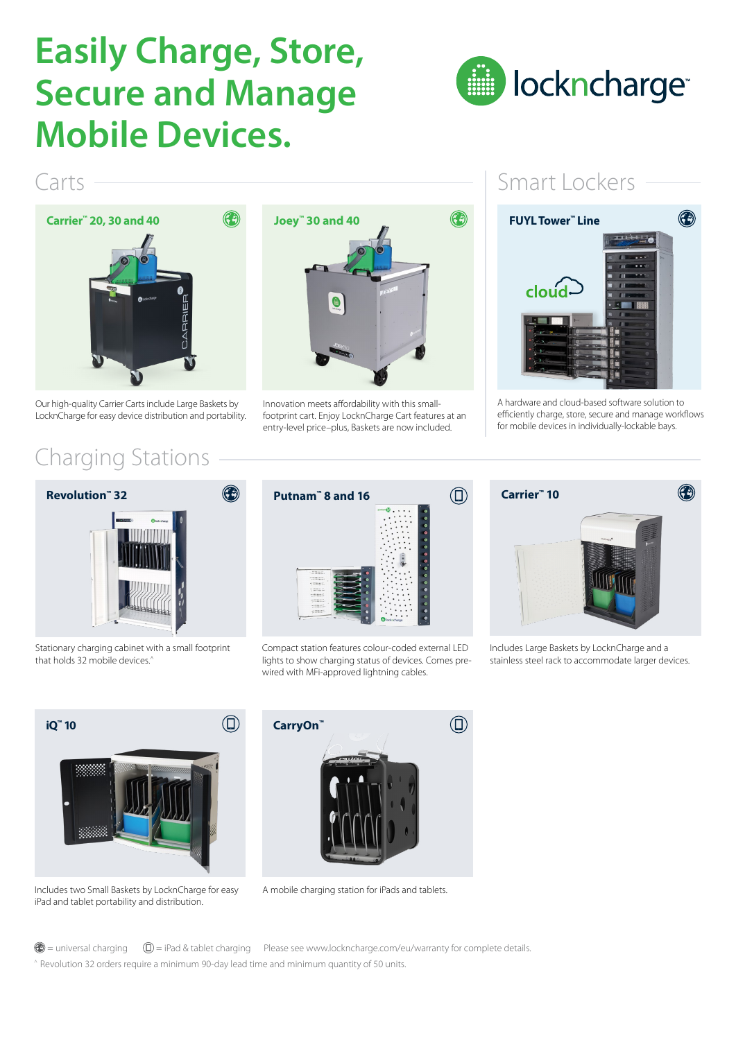## **Easily Charge, Store, Secure and Manage Mobile Devices.**



### Carts



Our high-quality Carrier Carts include Large Baskets by LocknCharge for easy device distribution and portability.

### Charging Stations



Innovation meets affordability with this smallfootprint cart. Enjoy LocknCharge Cart features at an entry-level price–plus, Baskets are now included.

### Smart Lockers



A hardware and cloud-based software solution to efficiently charge, store, secure and manage workflows for mobile devices in individually-lockable bays.



Stationary charging cabinet with a small footprint that holds 32 mobile devices.^



Compact station features colour-coded external LED lights to show charging status of devices. Comes prewired with MFi-approved lightning cables.



Includes Large Baskets by LocknCharge and a stainless steel rack to accommodate larger devices.



Includes two Small Baskets by LocknCharge for easy iPad and tablet portability and distribution.



A mobile charging station for iPads and tablets.

 $\bigcirc$  = universal charging  $\bigcirc$  = iPad & tablet charging Please see www.lockncharge.com/eu/warranty for complete details. ^ Revolution 32 orders require a minimum 90-day lead time and minimum quantity of 50 units.